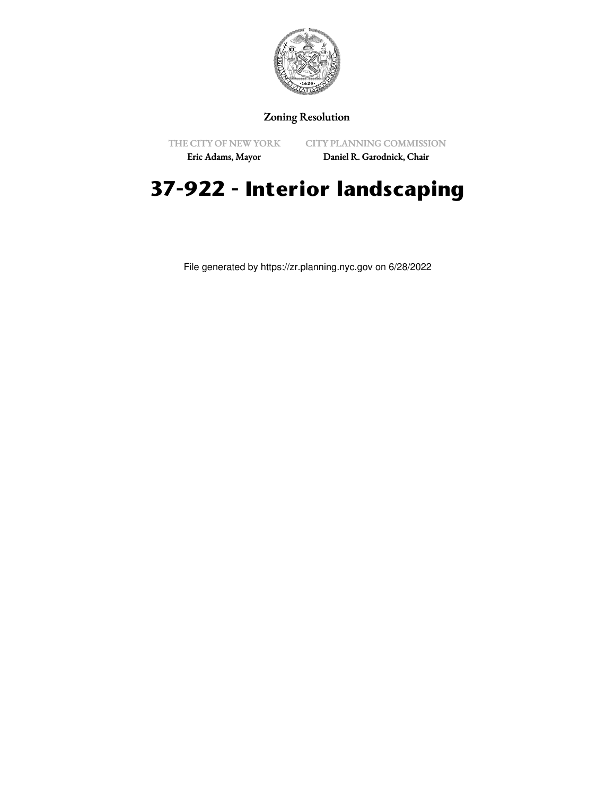

## Zoning Resolution

THE CITY OF NEW YORK

CITY PLANNING COMMISSION

Eric Adams, Mayor

Daniel R. Garodnick, Chair

# **37-922 - Interior landscaping**

File generated by https://zr.planning.nyc.gov on 6/28/2022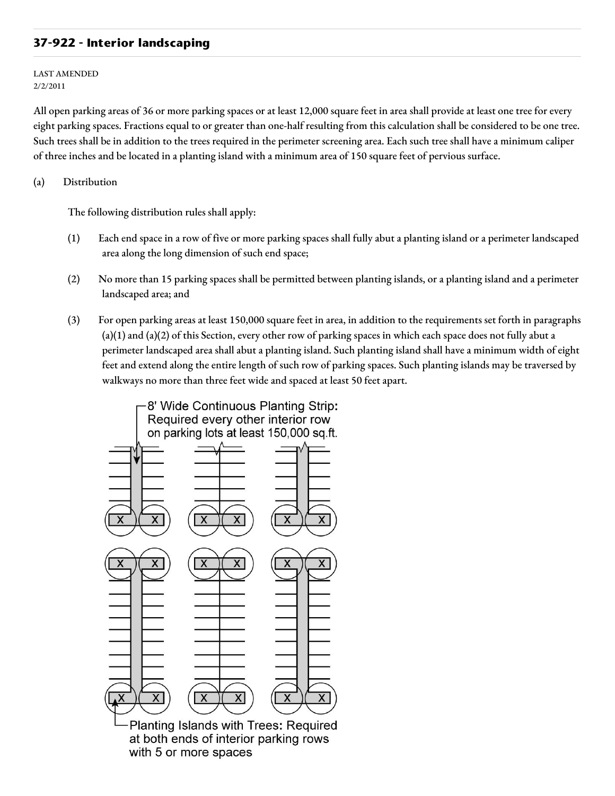## **37-922 - Interior landscaping**

LAST AMENDED 2/2/2011

All open parking areas of 36 or more parking spaces or at least 12,000 square feet in area shall provide at least one tree for every eight parking spaces. Fractions equal to or greater than one-half resulting from this calculation shall be considered to be one tree. Such trees shall be in addition to the trees required in the perimeter screening area. Each such tree shall have a minimum caliper of three inches and be located in a planting island with a minimum area of 150 square feet of pervious surface.

### (a) Distribution

The following distribution rules shall apply:

- (1) Each end space in a row of five or more parking spaces shall fully abut a planting island or a perimeter landscaped area along the long dimension of such end space;
- (2) No more than 15 parking spaces shall be permitted between planting islands, or a planting island and a perimeter landscaped area; and
- (3) For open parking areas at least 150,000 square feet in area, in addition to the requirements set forth in paragraphs (a)(1) and (a)(2) of this Section, every other row of parking spaces in which each space does not fully abut a perimeter landscaped area shall abut a planting island. Such planting island shall have a minimum width of eight feet and extend along the entire length of such row of parking spaces. Such planting islands may be traversed by walkways no more than three feet wide and spaced at least 50 feet apart.

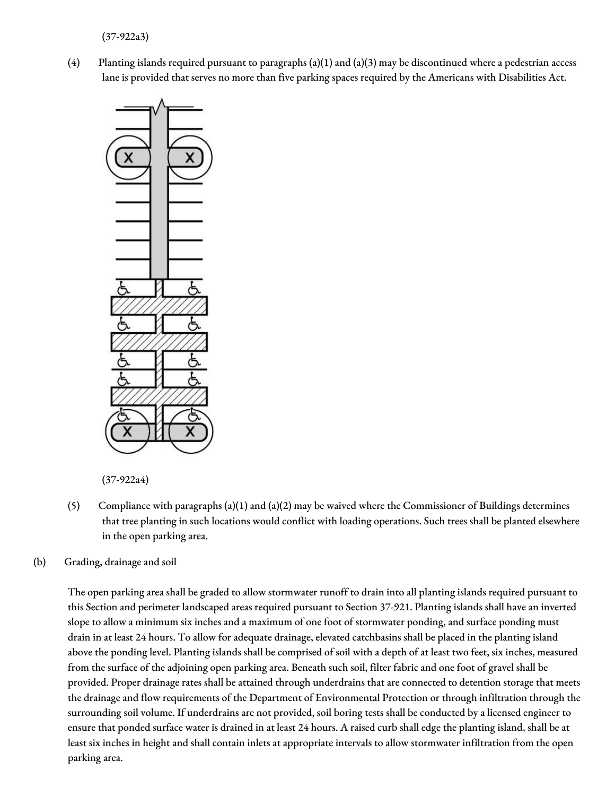(37-922a3)

(4) Planting islands required pursuant to paragraphs (a)(1) and (a)(3) may be discontinued where a pedestrian access lane is provided that serves no more than five parking spaces required by the Americans with Disabilities Act.



(37-922a4)

- (5) Compliance with paragraphs (a)(1) and (a)(2) may be waived where the Commissioner of Buildings determines that tree planting in such locations would conflict with loading operations. Such trees shall be planted elsewhere in the open parking area.
- (b) Grading, drainage and soil

The open parking area shall be graded to allow stormwater runoff to drain into all planting islands required pursuant to this Section and perimeter landscaped areas required pursuant to Section 37-921. Planting islands shall have an inverted slope to allow a minimum six inches and a maximum of one foot of stormwater ponding, and surface ponding must drain in at least 24 hours. To allow for adequate drainage, elevated catchbasins shall be placed in the planting island above the ponding level. Planting islands shall be comprised of soil with a depth of at least two feet, six inches, measured from the surface of the adjoining open parking area. Beneath such soil, filter fabric and one foot of gravel shall be provided. Proper drainage rates shall be attained through underdrains that are connected to detention storage that meets the drainage and flow requirements of the Department of Environmental Protection or through infiltration through the surrounding soil volume. If underdrains are not provided, soil boring tests shall be conducted by a licensed engineer to ensure that ponded surface water is drained in at least 24 hours. A raised curb shall edge the planting island, shall be at least six inches in height and shall contain inlets at appropriate intervals to allow stormwater infiltration from the open parking area.